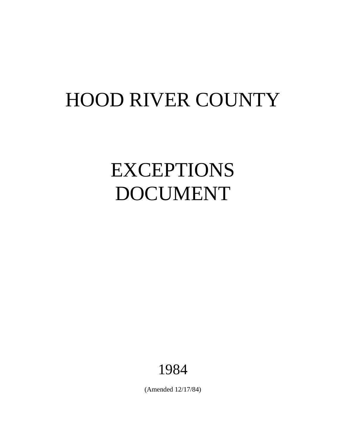## HOOD RIVER COUNTY

# EXCEPTIONS DOCUMENT

## 1984

(Amended 12/17/84)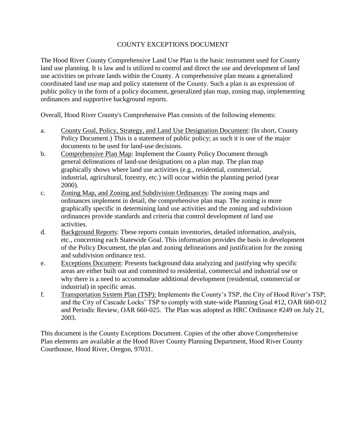#### COUNTY EXCEPTIONS DOCUMENT

The Hood River County Comprehensive Land Use Plan is the basic instrument used for County land use planning. It is law and is utilized to control and direct the use and development of land use activities on private lands within the County. A comprehensive plan means a generalized coordinated land use map and policy statement of the County. Such a plan is an expression of public policy in the form of a policy document, generalized plan map, zoning map, implementing ordinances and supportive background reports.

Overall, Hood River County's Comprehensive Plan consists of the following elements:

- a. County Goal, Policy, Strategy, and Land Use Designation Document: (In short, County Policy Document.) This is a statement of public policy; as such it is one of the major documents to be used for land-use decisions.
- b. Comprehensive Plan Map: Implement the County Policy Document through general delineations of land-use designations on a plan map. The plan map graphically shows where land use activities (e.g., residential, commercial, industrial, agricultural, forestry, etc.) will occur within the planning period (year 2000).
- c. Zoning Map, and Zoning and Subdivision Ordinances: The zoning maps and ordinances implement in detail, the comprehensive plan map. The zoning is more graphically specific in determining land use activities and the zoning and subdivision ordinances provide standards and criteria that control development of land use activities.
- d. Background Reports: These reports contain inventories, detailed information, analysis, etc., concerning each Statewide Goal. This information provides the basis in development of the Policy Document, the plan and zoning delineations and justification for the zoning and subdivision ordinance text.
- e. Exceptions Document: Presents background data analyzing and justifying why specific areas are either built out and committed to residential, commercial and industrial use or why there is a need to accommodate additional development (residential, commercial or industrial) in specific areas.
- f. Transportation System Plan (TSP): Implements the County's TSP, the City of Hood River's TSP; and the City of Cascade Locks' TSP to comply with state-wide Planning Goal #12, OAR 660-012 and Periodic Review, OAR 660-025. The Plan was adopted as HRC Ordinance #249 on July 21, 2003.

This document is the County Exceptions Document. Copies of the other above Comprehensive Plan elements are available at the Hood River County Planning Department, Hood River County Courthouse, Hood River, Oregon, 97031.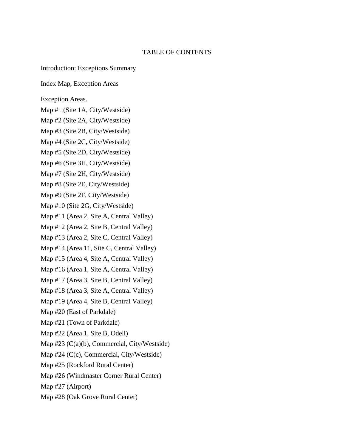#### TABLE OF CONTENTS

Introduction: Exceptions Summary

Index Map, Exception Areas

Exception Areas.

Map #1 (Site 1A, City/Westside)

Map #2 (Site 2A, City/Westside)

Map #3 (Site 2B, City/Westside)

Map #4 (Site 2C, City/Westside)

Map #5 (Site 2D, City/Westside)

Map #6 (Site 3H, City/Westside)

Map #7 (Site 2H, City/Westside) Map #8 (Site 2E, City/Westside)

Map #9 (Site 2F, City/Westside)

Map #10 (Site 2G, City/Westside)

Map #11 (Area 2, Site A, Central Valley)

Map #12 (Area 2, Site B, Central Valley)

Map #13 (Area 2, Site C, Central Valley)

Map #14 (Area 11, Site C, Central Valley)

Map #15 (Area 4, Site A, Central Valley)

Map #16 (Area 1, Site A, Central Valley)

Map #17 (Area 3, Site B, Central Valley)

Map #18 (Area 3, Site A, Central Valley)

Map #19 (Area 4, Site B, Central Valley)

Map #20 (East of Parkdale)

Map #21 (Town of Parkdale)

Map #22 (Area 1, Site B, Odell)

Map #23 (C(a)(b), Commercial, City/Westside)

Map #24 (C(c), Commercial, City/Westside)

Map #25 (Rockford Rural Center)

Map #26 (Windmaster Corner Rural Center)

Map #27 (Airport)

Map #28 (Oak Grove Rural Center)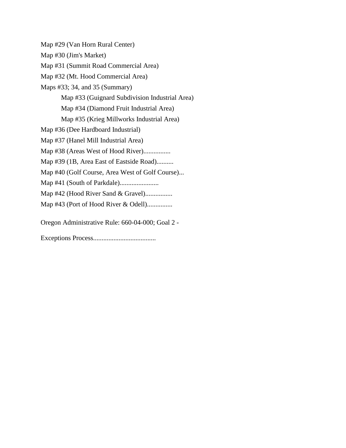Map #29 (Van Horn Rural Center) Map #30 (Jim's Market) Map #31 (Summit Road Commercial Area) Map #32 (Mt. Hood Commercial Area) Maps #33; 34, and 35 (Summary) Map #33 (Guignard Subdivision Industrial Area) Map #34 (Diamond Fruit Industrial Area) Map #35 (Krieg Millworks Industrial Area) Map #36 (Dee Hardboard Industrial) Map #37 (Hanel Mill Industrial Area) Map #38 (Areas West of Hood River)................. Map #39 (1B, Area East of Eastside Road).......... Map #40 (Golf Course, Area West of Golf Course)... Map #41 (South of Parkdale)....................... Map #42 (Hood River Sand & Gravel)................. Map #43 (Port of Hood River & Odell)............... Oregon Administrative Rule: 660-04-000; Goal 2 -

Exceptions Process.....................................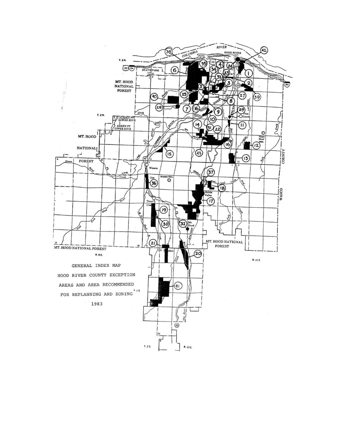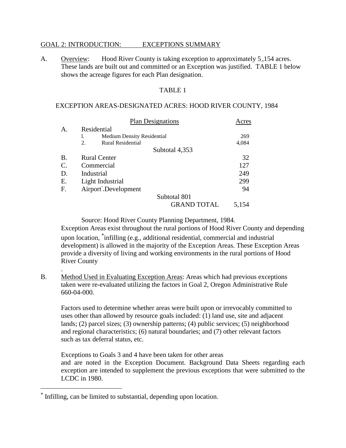#### GOAL 2: INTRODUCTION: EXCEPTIONS SUMMARY

A. Overview: Hood River County is taking exception to approximately 5,154 acres. These lands are built out and committed or an Exception was justified. TABLE 1 below shows the acreage figures for each Plan designation.

#### TABLE 1

#### EXCEPTION AREAS-DESIGNATED ACRES: HOOD RIVER COUNTY, 1984

|           | <b>Plan Designations</b>                | Acres |
|-----------|-----------------------------------------|-------|
| А.        | Residential                             |       |
|           | <b>Medium Density Residential</b><br>1. | 269   |
|           | 2.<br><b>Rural Residential</b>          | 4,084 |
|           | Subtotal 4,353                          |       |
| <b>B.</b> | <b>Rural Center</b>                     | 32    |
| C.        | Commercial                              | 127   |
| D.        | Industrial                              | 249   |
| Е.        | Light Industrial                        | 299   |
| F.        | Airport <sup>-</sup> .Development       | 94    |
|           | Subtotal 801                            |       |
|           | <b>GRAND TOTAL</b>                      | 5,154 |

Source: Hood River County Planning Department, 1984. Exception Areas exist throughout the rural portions of Hood River County and depending upon location,  $\phi$  infilling (e.g., additional residential, commercial and industrial development) is allowed in the majority of the Exception Areas. These Exception Areas provide a diversity of living and working environments in the rural portions of Hood River County

B. Method Used in Evaluating Exception Areas: Areas which had previous exceptions taken were re-evaluated utilizing the factors in Goal 2, Oregon Administrative Rule 660-04-000.

Factors used to determine whether areas were built upon or irrevocably committed to uses other than allowed by resource goals included: (1) land use, site and adjacent lands; (2) parcel sizes; (3) ownership patterns; (4) public services; (5) neighborhood and regional characteristics; (6) natural boundaries; and (7) other relevant factors such as tax deferral status, etc.

Exceptions to Goals 3 and 4 have been taken for other areas and are noted in the Exception Document. Background Data Sheets regarding each exception are intended to supplement the previous exceptions that were submitted to the LCDC in 1980.

.

Infilling, can be limited to substantial, depending upon location.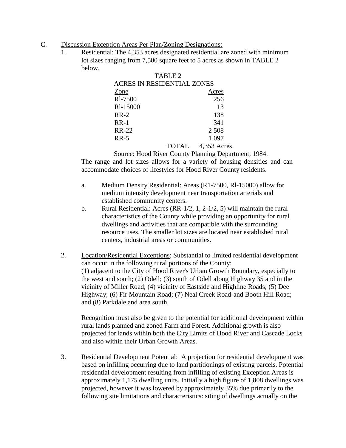- C. Discussion Exception Areas Per Plan/Zoning Designations:
	- 1. Residential: The 4,353 acres designated residential are zoned with minimum lot sizes ranging from 7,500 square feet to 5 acres as shown in TABLE 2 below.

|                                   | TABLE 2 |             |  |
|-----------------------------------|---------|-------------|--|
| <b>ACRES IN RESIDENTIAL ZONES</b> |         |             |  |
| Zone                              |         | Acres       |  |
| RI-7500                           |         | 256         |  |
| RI-15000                          |         | 13          |  |
| $RR-2$                            |         | 138         |  |
| $RR-1$                            |         | 341         |  |
| <b>RR-22</b>                      |         | 2 5 0 8     |  |
| <b>RR-5</b>                       |         | 1 0 9 7     |  |
|                                   | TOTAL   | 4,353 Acres |  |

Source: Hood River County Planning Department, 1984. The range and lot sizes allows for a variety of housing densities and can

accommodate choices of lifestyles for Hood River County residents.

- a. Medium Density Residential: Areas (R1-7500, Rl-15000) allow for medium intensity development near transportation arterials and established community centers.
- b. Rural Residential: Acres (RR-1/2, 1, 2-1/2, 5) will maintain the rural characteristics of the County while providing an opportunity for rural dwellings and activities that are compatible with the surrounding resource uses. The smaller lot sizes are located near established rural centers, industrial areas or communities.
- 2. Location/Residential Exceptions: Substantial to limited residential development can occur in the following rural portions of the County: (1) adjacent to the City of Hood River's Urban Growth Boundary, especially to the west and south; (2) Odell; (3) south of Odell along Highway 35 and in the vicinity of Miller Road; (4) vicinity of Eastside and Highline Roads; (5) Dee Highway; (6) Fir Mountain Road; (7) Neal Creek Road-and Booth Hill Road; and (8) Parkdale and area south.

Recognition must also be given to the potential for additional development within rural lands planned and zoned Farm and Forest. Additional growth is also projected for lands within both the City Limits of Hood River and Cascade Locks and also within their Urban Growth Areas.

3. Residential Development Potential: A projection for residential development was based on infilling occurring due to land partitionings of existing parcels. Potential residential development resulting from infilling of existing Exception Areas is approximately 1,175 dwelling units. Initially a high figure of 1,808 dwellings was projected, however it was lowered by approximately 35% due primarily to the following site limitations and characteristics: siting of dwellings actually on the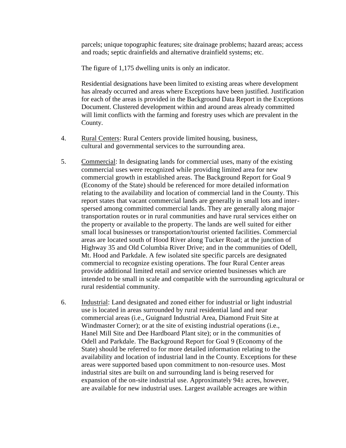parcels; unique topographic features; site drainage problems; hazard areas; access and roads; septic drainfields and alternative drainfield systems; etc.

The figure of 1,175 dwelling units is only an indicator.

Residential designations have been limited to existing areas where development has already occurred and areas where Exceptions have been justified. Justification for each of the areas is provided in the Background Data Report in the Exceptions Document. Clustered development within and around areas already committed will limit conflicts with the farming and forestry uses which are prevalent in the County.

- 4. Rural Centers: Rural Centers provide limited housing, business, cultural and governmental services to the surrounding area.
- 5. Commercial: In designating lands for commercial uses, many of the existing commercial uses were recognized while providing limited area for new commercial growth in established areas. The Background Report for Goal 9 (Economy of the State) should be referenced for more detailed information relating to the availability and location of commercial land in the County. This report states that vacant commercial lands are generally in small lots and interspersed among committed commercial lands. They are generally along major transportation routes or in rural communities and have rural services either on the property or available to the property. The lands are well suited for either small local businesses or transportation/tourist oriented facilities. Commercial areas are located south of Hood River along Tucker Road; at the junction of Highway 35 and Old Columbia River Drive; and in the communities of Odell, Mt. Hood and Parkdale. A few isolated site specific parcels are designated commercial to recognize existing operations. The four Rural Center areas provide additional limited retail and service oriented businesses which are intended to be small in scale and compatible with the surrounding agricultural or rural residential community.
- 6. Industrial: Land designated and zoned either for industrial or light industrial use is located in areas surrounded by rural residential land and near commercial areas (i.e., Guignard Industrial Area, Diamond Fruit Site at Windmaster Corner); or at the site of existing industrial operations (i.e., Hanel Mill Site and Dee Hardboard Plant site); or in the communities of Odell and Parkdale. The Background Report for Goal 9 (Economy of the State) should be referred to for more detailed information relating to the availability and location of industrial land in the County. Exceptions for these areas were supported based upon commitment to non-resource uses. Most industrial sites are built on and surrounding land is being reserved for expansion of the on-site industrial use. Approximately  $94\pm$  acres, however, are available for new industrial uses. Largest available acreages are within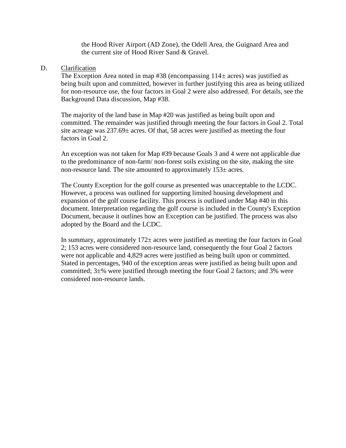the Hood River Airport (AD Zone), the Odell Area, the Guignard Area and the current site of Hood River Sand & Gravel.

#### D. Clarification

The Exception Area noted in map  $#38$  (encompassing  $114\pm$  acres) was justified as being built upon and committed, however in further justifying this area as being utilized for non-resource use, the four factors in Goal 2 were also addressed. For details, see the Background Data discussion, Map #38.

The majority of the land base in Map #20 was justified as being built upon and committed. The remainder was justified through meeting the four factors in Goal 2. Total site acreage was 237.69± acres. Of that, 58 acres were justified as meeting the four factors in Goal 2.

An exception was not taken for Map #39 because Goals 3 and 4 were not applicable due to the predominance of non-farm/ non-forest soils existing on the site, making the site non-resource land. The site amounted to approximately  $153\pm$  acres.

The County Exception for the golf course as presented was unacceptable to the LCDC. However, a process was outlined for supporting limited housing development and expansion of the golf course facility. This process is outlined under Map #40 in this document. Interpretation regarding the golf course is included in the County's Exception Document, because it outlines how an Exception can be justified. The process was also adopted by the Board and the LCDC.

In summary, approximately  $172\pm$  acres were justified as meeting the four factors in Goal 2; 153 acres were considered non-resource land, consequently the four Goal 2 factors were not applicable and 4,829 acres were justified as being built upon or committed. Stated in percentages, 940 of the exception areas were justified as being built upon and committed;  $3\pm\%$  were justified through meeting the four Goal 2 factors; and 3% were considered non-resource lands.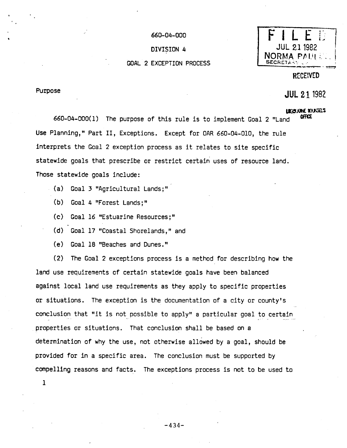#### 660-04-000

DIVISION 4

#### **GOAL 2 EXCEPTION PROCESS**

### 21 1982 NORMA PALL: **SECRET**

**RECEIVED** 

#### **Rurpose**

### **JUL 21 1982**

#### **LEEUVE SUITES** ΩFFΩE

660-04-000(1) The purpose of this rule is to implement Goal 2 "Land Use Planning," Part II, Exceptions. Except for OAR 660-04-010, the rule interprets the Goal 2 exception process as it relates to site specific statewide goals that prescribe or restrict certain uses of resource land. Those statewide goals include:

- (a) Goal 3 "Agricultural Lands;"
	- $(b)$ Goal 4 "Forest Lands;"
	- $(c)$ Goal 16 "Estuarine Resources:"
	- (d) Goal 17 "Coastal Shorelands," and
	- (e) Goal 18 "Beaches and Dunes."

(2) The Goal 2 exceptions process is a method for describing how the land use requirements of certain statewide goals have been balanced against local land use requirements as they apply to specific properties or situations. The exception is the documentation of a city or county's conclusion that "it is not possible to apply" a particular goal to certain properties or situations. That conclusion shall be based on a determination of why the use, not otherwise allowed by a goal, should be provided for in a specific area. The conclusion must be supported by compelling reasons and facts. The exceptions process is not to be used to

 $\mathbf{I}$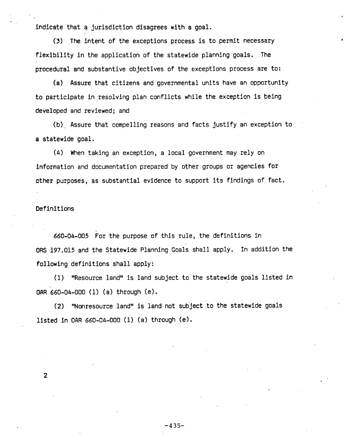indicate that a jurisdiction disagrees with a goal.

(3) The intent of the exceptions process is to permit necessary flexibility in the application of the statewide planning goals. The procedural and substantive objectives of the exceptions process are to:

(a) Assure that citizens and governmental units have an opportunity to participate in resolving plan conflicts while the exception is being developed and reviewed; and

(b) Assure that compelling reasons and facts justify an exception to a statewide goal.

(4) When taking an exception, a local government may rely on information and documentation prepared by other groups or agencies for other purposes, as substantial evidence to support its findings of fact.

#### Definitions

660-04-005 For the purpose of this rule, the definitions in ORS 197.015 and the Statewide Planning Goals shall apply. In addition the following definitions shall apply:

(1) "Resource land" is land subject to the statewide goals listed in OAR 660-04-000 (1) (a) through (e).

(2) "Nonresource land" is land not subject to the statewide goals listed in OAR 660-04-000 (1) (a) through  $(e)$ .

 $\mathbf{2}$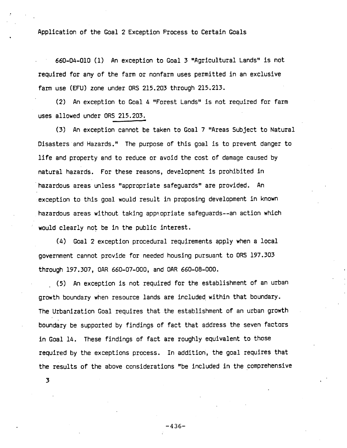Application of the Goal 2 Exception Process to Certain Goals

660-04-010 (1) An exception to Goal 3 "Agricultural Lands" is not required for any of the farm or nonfarm uses permitted in an exclusive farm use (EFU) zone under ORS 215.203 through 215.213.

(2) An exception to Goal 4 "Forest Lands" is not required for farm uses allowed under ORS 215.203.

(3) An exception cannot be taken to Goal 7 "Areas Subject to Natural Disasters and Hazards." The purpose of this goal is to prevent danger to life and property and to reduce or avoid the cost of damage caused by natural hazards. For these reasons, development is prohibited in hazardous areas unless "appropriate safeguards" are provided. An exception to this goal would result in proposing development in known hazardous areas without taking appropriate safeguards--an action which would clearly not be in the public interest.

(4) Goal 2 exception procedural requirements apply when a local government cannot provide for needed housing pursuant to ORS 197.303 through 197.307, OAR 660-07-000, and OAR 660-08-000.

(5) An exception is not required for the establishment of an urban growth boundary when resource lands are included within that boundary. The Urbanization Goal requires that the establishment of an urban growth boundary be supported by findings of fact that address the seven factors in Goal 14. These findings of fact are roughly equivalent to those required by the exceptions process. In addition, the goal requires that the results of the above considerations "be included in the comprehensive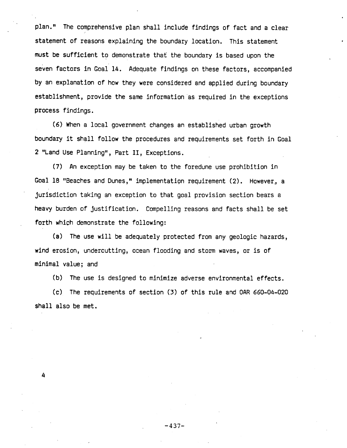plan." The comprehensive plan shall include findings of fact and a clear statement of reasons explaining the boundary location. This statement must be sufficient to demonstrate that the boundary is based upon the seven factors in Goal 14. Adequate findings on these factors, accompanied by an explanation of how they were considered and applied during boundary establishment, provide the same information as required in the exceptions process findings.

(6) When a local government changes an established urban growth boundary it shall follow the procedures and requirements set forth in Goal 2 "Land Use Planning", Part II, Exceptions.

(7) An exception may be taken to the foredune use prohibition in Goal 18 "Beaches and Dunes," implementation requirement (2). However, a jurisdiction taking an exception to that goal provision section bears a heavy burden of justification. Compelling reasons and facts shall be set forth which demonstrate the following:

(a) The use will be adequately protected from any geologic hazards, wind erosion, undercutting, ocean flooding and storm waves, or is of minimal value; and

(b) The use is designed to minimize adverse environmental effects.

(c) The requirements of section (3) of this rule and OAR 660-04-020 shall also be met.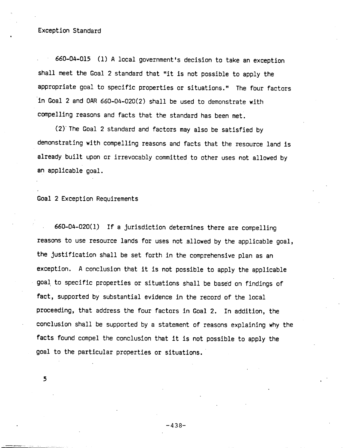#### Exception Standard

660-04-015 (1) A local government's decision to take an exception shall meet the Goal 2 standard that "it is not possible to apply the appropriate goal to specific properties or situations." The four factors in Goal 2 and OAR 660-04-020(2) shall be used to demonstrate with compelling reasons and facts that the standard has been met.

(2) The Goal 2 standard and factors may also be satisfied by demonstrating with compelling reasons and facts that the resource land is already built upon or irrevocably committed to other uses not allowed by an applicable goal.

Goal 2 Exception Requirements

660-04-020(1) If a jurisdiction determines there are compelling reasons to use resource lands for uses not allowed by the applicable goal, the justification shall be set forth in the comprehensive plan as an exception. A conclusion that it is not possible to apply the applicable goal to specific properties or situations shall be based on findings of fact, supported by substantial evidence in the record of the local proceeding, that address the four factors in Goal 2. In addition, the conclusion shall be supported by a statement of reasons explaining why the facts found compel the conclusion that it is not possible to apply the goal to the particular properties or situations.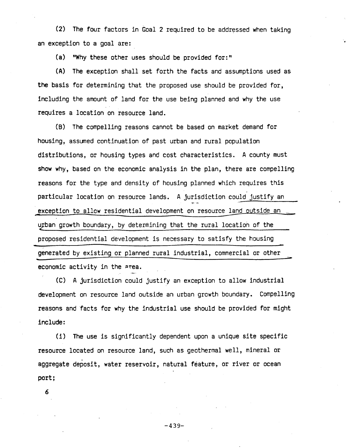(2) The four factors in Goal 2 required to be addressed when taking an exception to a goal are:

(a) | "Why these other uses should be provided for:"

(A) The exception shall set forth the facts and assumptions used as the basis for determining that the proposed use should be provided for, including the amount of land for the use being planned and why the use requires a location on resource land.

(B) The compelling reasons cannot be based on market demand for housing, assumed continuation of past urban and rural population distributions, or housing types and cost characteristics. A county must show why, based on the economic analysis in the plan, there are compelling reasons for the type and density of housing planned which requires this particular location on resource lands. A jurisdiction could justify an exception to allow residential development on resource land outside an urban growth boundary, by determining that the rural location of the proposed residential development is necessary to satisfy the housing generated by existing or planned rural industrial, commercial or other economic activity in the area.

(C) A jurisdiction could justify an exception to allow industrial development on resource land outside an urban growth boundary. Compelling reasons and facts for why the industrial use should be provided for might include:

(i) The use is significantly dependent upon a unique site specific resource located on resource land, such as geothermal well, mineral or aggregate deposit, water reservoir, natural feature, or river or ocean port;

6

 $-439-$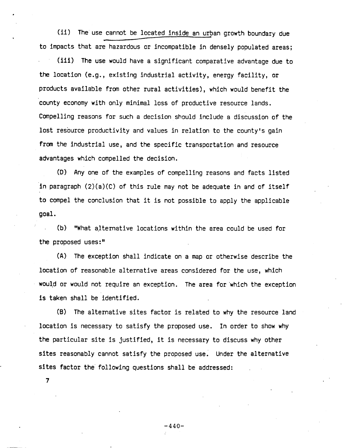(ii) The use cannot be located inside an urban growth boundary due to impacts that are hazardous or incompatible in densely populated areas;

(iii) The use would have a significant comparative advantage due to the location (e.g., existing industrial activity, energy facility, or products available from other rural activities), which would benefit the county economy with only minimal loss of productive resource lands. Compelling reasons for such a decision should include a discussion of the lost resource productivity and values in relation to the county's gain from the industrial use, and the specific transportation and resource advantages which compelled the decision.

(D) Any one of the examples of compelling reasons and facts listed in paragraph  $(2)(a)(c)$  of this rule may not be adequate in and of itself to compel the conclusion that it is not possible to apply the applicable goal.

(b) "What alternative locations within the area could be used for the proposed uses:"

(A) The exception shall indicate on a map or otherwise describe the location of reasonable alternative areas considered for the use, which would or would not require an exception. The area for which the exception is taken shall be identified.

(B) The alternative sites factor is related to why the resource land location is necessary to satisfy the proposed use. In order to show why the particular site is justified, it is necessary to discuss why other sites reasonably cannot satisfy the proposed use. Under the alternative sites factor the following questions shall be addressed:

 $\overline{7}$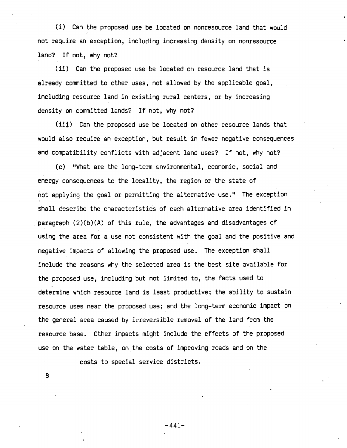(i) Can the proposed use be located on nonresource land that would not require an exception, including increasing density on nonresource land? If not, why not?

(ii) Can the proposed use be located on resource land that is already committed to other uses, not allowed by the applicable goal, including resource land in existing rural centers, or by increasing density on committed lands? If not, why not?

(iii) Can the proposed use be located on other resource lands that would also require an exception, but result in fewer negative consequences and compatibility conflicts with adjacent land uses? If not, why not?

(c) "What are the long-term environmental, economic, social and energy consequences to the locality, the region or the state of not applying the goal or permitting the alternative use." The exception shall describe the characteristics of each alternative area identified in paragraph (2)(b)(A) of this rule, the advantages and disadvantages of using the area for a use not consistent with the goal and the positive and negative impacts of allowing the proposed use. The exception shall include the reasons why the selected area is the best site available for the proposed use, including but not limited to, the facts used to determine which resource land is least productive; the ability to sustain resource uses near the proposed use; and the long-term economic impact on the general area caused by irreversible removal of the land from the resource base. Other impacts might include the effects of the proposed use on the water table, on the costs of improving roads and on the

costs to special service districts.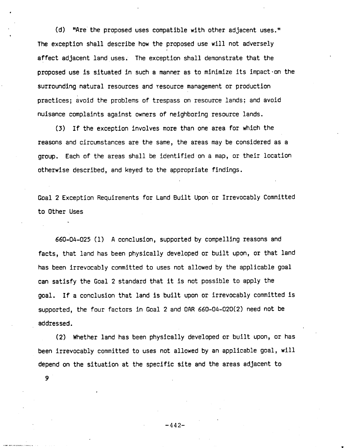(d) "Are the proposed uses compatible with other adjacent uses." The exception shall describe how the proposed use will not adversely affect adjacent land uses. The exception shall demonstrate that the proposed use is situated in such a manner as to minimize its impact on the surrounding natural resources and resource management or production practices; avoid the problems of trespass on resource lands; and avoid nuisance complaints against owners of neighboring resource lands.

(3) If the exception involves more than one area for which the reasons and circumstances are the same, the areas may be considered as a group. Each of the areas shall be identified on a map, or their location otherwise described, and keyed to the appropriate findings.

Goal 2 Exception Requirements for Land Built Upon or Irrevocably Committed to Other Uses

660-04-025 (1) A conclusion, supported by compelling reasons and facts, that land has been physically developed or built upon, or that land has been irrevocably committed to uses not allowed by the applicable goal can satisfy the Goal 2 standard that it is not possible to apply the goal. If a conclusion that land is built upon or irrevocably committed is supported, the four factors in Goal 2 and OAR 660-04-020(2) need not be addressed.

(2) Whether land has been physically developed or built upon, or has been irrevocably committed to uses not allowed by an applicable goal, will depend on the situation at the specific site and the areas adjacent to

9

 $-442-$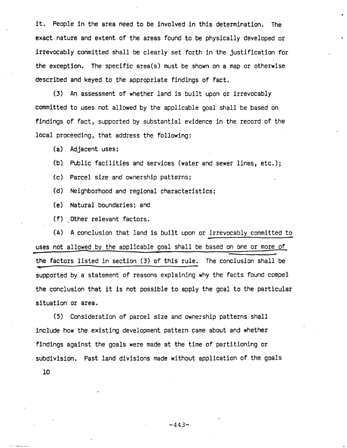People in the area need to be involved in this determination. it. The exact nature and extent of the areas found to be physically developed or irrevocably committed shall be clearly set forth in the justification for the exception. The specific area(s) must be shown on a map or otherwise described and keyed to the appropriate findings of fact.

(3) An assessment of whether land is built upon or irrevocably committed to uses not allowed by the applicable goal shall be based on findings of fact, supported by substantial evidence in the record of the local proceeding, that address the following:

- $(a)$ Adjacent uses;
- $(b)$ Public facilities and services (water and sewer lines, etc.);
- $(c)$ Parcel size and ownership patterns;
- (d) Neighborhood and regional characteristics;
- $(e)$ Natural boundaries; and
- (f) Other relevant factors.

(4) A conclusion that land is built upon or irrevocably committed to uses not allowed by the applicable goal shall be based on one or more of the factors listed in section (3) of this rule. The conclusion shall be supported by a statement of reasons explaining why the facts found compel the conclusion that it is not possible to apply the goal to the particular situation or area.

(5) Consideration of parcel size and ownership patterns shall include how the existing development pattern came about and whether findings against the goals were made at the time of partitioning or subdivision. Past land divisions made without application of the goals

 $10<sub>1</sub>$ 

 $-443-$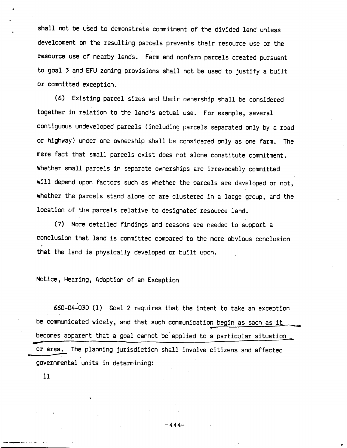shall not be used to demonstrate commitment of the divided land unless development on the resulting parcels prevents their resource use or the resource use of nearby lands. Farm and nonfarm parcels created pursuant to goal 3 and EFU zoning provisions shall not be used to justify a built or committed exception.

(6) Existing parcel sizes and their ownership shall be considered together in relation to the land's actual use. For example, several contiguous undeveloped parcels (including parcels separated only by a road or highway) under one ownership shall be considered only as one farm. The mere fact that small parcels exist does not alone constitute commitment. Whether small parcels in separate ownerships are irrevocably committed will depend upon factors such as whether the parcels are developed or not, whether the parcels stand alone or are clustered in a large group, and the location of the parcels relative to designated resource land.

(7) More detailed findings and reasons are needed to support a conclusion that land is committed compared to the more obvious conclusion that the land is physically developed or built upon.

Notice, Hearing, Adoption of an Exception

660-04-030 (1) Goal 2 requires that the intent to take an exception be communicated widely, and that such communication begin as soon as it becomes apparent that a goal cannot be applied to a particular situation or area. The planning jurisdiction shall involve citizens and affected governmental units in determining: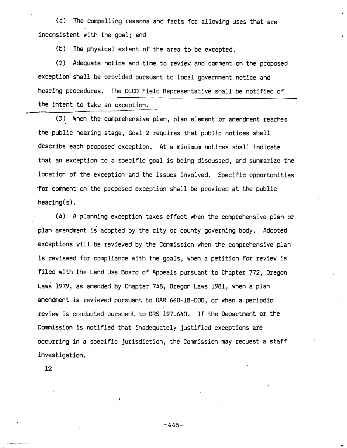(a) The compelling reasons and facts for allowing uses that are inconsistent with the goal; and

(b) The physical extent of the area to be excepted.

 $(2)$ Adequate notice and time to review and comment on the proposed exception shall be provided pursuant to local government notice and hearing procedures. The DLCD Field Representative shall be notified of the intent to take an exception.

(3) When the comprehensive plan, plan element or amendment reaches the public hearing stage, Goal 2 requires that public notices shall describe each proposed exception. At a minimum notices shall indicate that an exception to a specific goal is being discussed, and summarize the location of the exception and the issues involved. Specific opportunities for comment on the proposed exception shall be provided at the public  $hearing(s)$ .

(4) A planning exception takes effect when the comprehensive plan or plan amendment is adopted by the city or county governing body. Adopted exceptions will be reviewed by the Commission when the comprehensive plan is reviewed for compliance with the goals, when a petition for review is filed with the Land Use Board of Appeals pursuant to Chapter 772. Oregon Laws 1979, as amended by Chapter 748, Oregon Laws 1981, when a plan amendment is reviewed pursuant to OAR 660-18-000, or when a periodic review is conducted pursuant to ORS 197.640. If the Department or the Commission is notified that inadequately justified exceptions are occurring in a specific jurisdiction, the Commission may request a staff investigation.

 $12<sup>2</sup>$